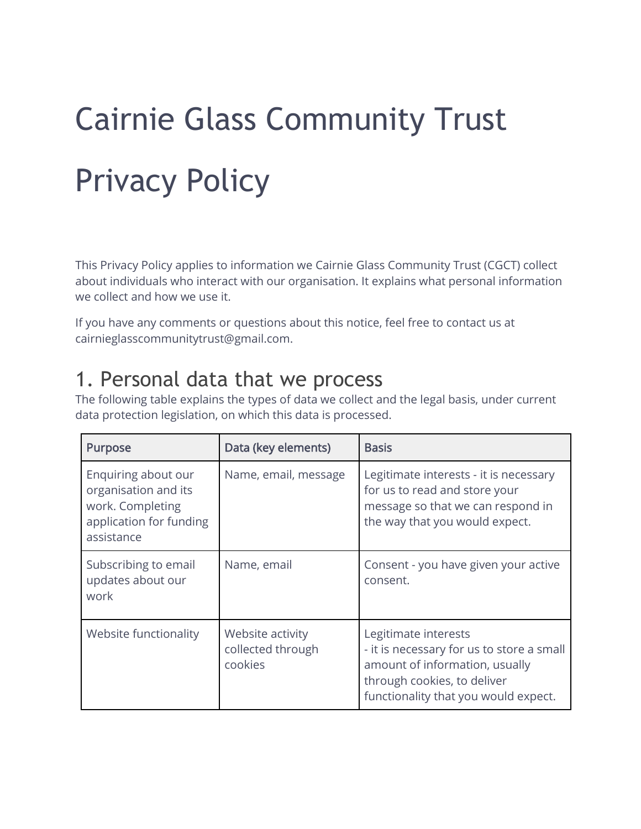# Cairnie Glass Community Trust Privacy Policy

This Privacy Policy applies to information we Cairnie Glass Community Trust (CGCT) collect about individuals who interact with our organisation. It explains what personal information we collect and how we use it.

If you have any comments or questions about this notice, feel free to contact us at cairnieglasscommunitytrust@gmail.com.

#### 1. Personal data that we process

The following table explains the types of data we collect and the legal basis, under current data protection legislation, on which this data is processed.

| <b>Purpose</b>                                                                                           | Data (key elements)                              | <b>Basis</b>                                                                                                                                                               |
|----------------------------------------------------------------------------------------------------------|--------------------------------------------------|----------------------------------------------------------------------------------------------------------------------------------------------------------------------------|
| Enquiring about our<br>organisation and its<br>work. Completing<br>application for funding<br>assistance | Name, email, message                             | Legitimate interests - it is necessary<br>for us to read and store your<br>message so that we can respond in<br>the way that you would expect.                             |
| Subscribing to email<br>updates about our<br>work                                                        | Name, email                                      | Consent - you have given your active<br>consent.                                                                                                                           |
| Website functionality                                                                                    | Website activity<br>collected through<br>cookies | Legitimate interests<br>- it is necessary for us to store a small<br>amount of information, usually<br>through cookies, to deliver<br>functionality that you would expect. |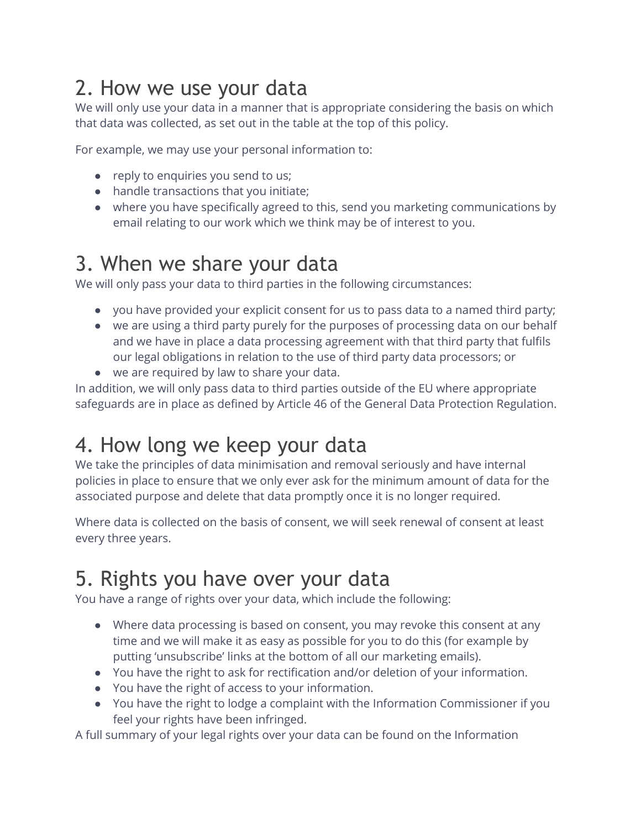# 2. How we use your data

We will only use your data in a manner that is appropriate considering the basis on which that data was collected, as set out in the table at the top of this policy.

For example, we may use your personal information to:

- reply to enquiries you send to us;
- handle transactions that you initiate;
- where you have specifically agreed to this, send you marketing communications by email relating to our work which we think may be of interest to you.

#### 3. When we share your data

We will only pass your data to third parties in the following circumstances:

- you have provided your explicit consent for us to pass data to a named third party;
- we are using a third party purely for the purposes of processing data on our behalf and we have in place a data processing agreement with that third party that fulfils our legal obligations in relation to the use of third party data processors; or
- we are required by law to share your data.

In addition, we will only pass data to third parties outside of the EU where appropriate safeguards are in place as defined by Article 46 of the General Data Protection Regulation.

## 4. How long we keep your data

We take the principles of data minimisation and removal seriously and have internal policies in place to ensure that we only ever ask for the minimum amount of data for the associated purpose and delete that data promptly once it is no longer required.

Where data is collected on the basis of consent, we will seek renewal of consent at least every three years.

#### 5. Rights you have over your data

You have a range of rights over your data, which include the following:

- Where data processing is based on consent, you may revoke this consent at any time and we will make it as easy as possible for you to do this (for example by putting 'unsubscribe' links at the bottom of all our marketing emails).
- You have the right to ask for rectification and/or deletion of your information.
- You have the right of access to your information.
- You have the right to lodge a complaint with the Information Commissioner if you feel your rights have been infringed.

A full summary of your legal rights over your data can be found on the Information